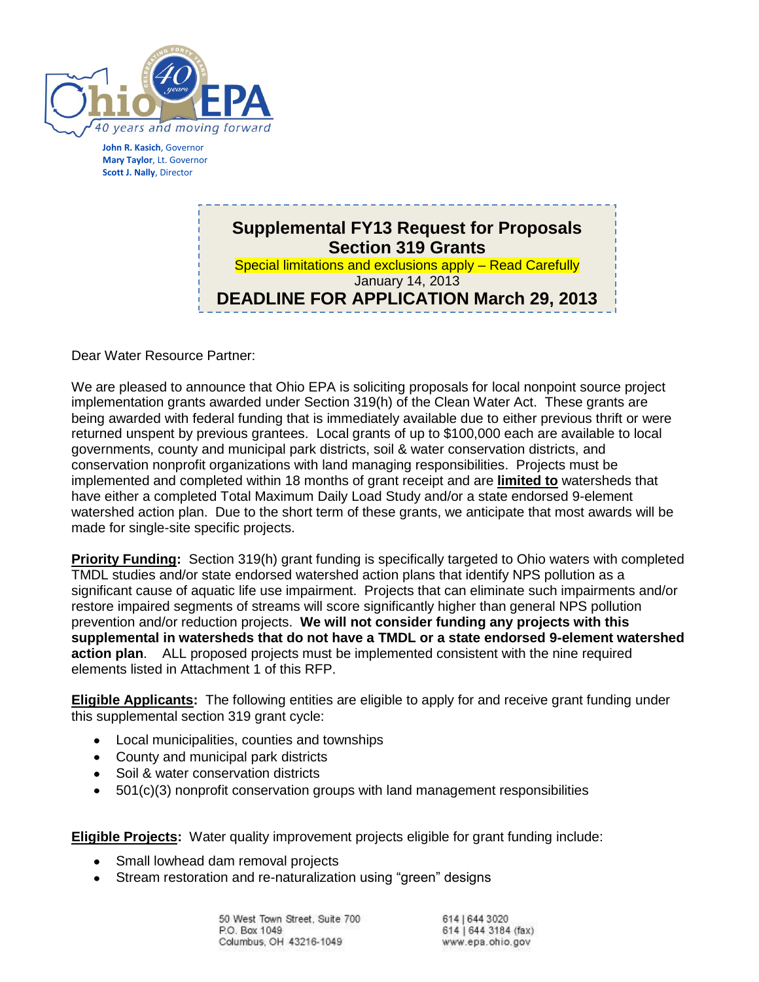

**John R. Kasich**, Governor **Mary Taylor**, Lt. Governor **Scott J. Nally**, Director

### **Supplemental FY13 Request for Proposals Section 319 Grants** Special limitations and exclusions apply – Read Carefully January 14, 2013 **DEADLINE FOR APPLICATION March 29, 2013**

Dear Water Resource Partner:

We are pleased to announce that Ohio EPA is soliciting proposals for local nonpoint source project implementation grants awarded under Section 319(h) of the Clean Water Act. These grants are being awarded with federal funding that is immediately available due to either previous thrift or were returned unspent by previous grantees. Local grants of up to \$100,000 each are available to local governments, county and municipal park districts, soil & water conservation districts, and conservation nonprofit organizations with land managing responsibilities. Projects must be implemented and completed within 18 months of grant receipt and are **limited to** watersheds that have either a completed Total Maximum Daily Load Study and/or a state endorsed 9-element watershed action plan. Due to the short term of these grants, we anticipate that most awards will be made for single-site specific projects.

**Priority Funding:** Section 319(h) grant funding is specifically targeted to Ohio waters with completed TMDL studies and/or state endorsed watershed action plans that identify NPS pollution as a significant cause of aquatic life use impairment. Projects that can eliminate such impairments and/or restore impaired segments of streams will score significantly higher than general NPS pollution prevention and/or reduction projects. **We will not consider funding any projects with this supplemental in watersheds that do not have a TMDL or a state endorsed 9-element watershed action plan**. ALL proposed projects must be implemented consistent with the nine required elements listed in Attachment 1 of this RFP.

**Eligible Applicants:** The following entities are eligible to apply for and receive grant funding under this supplemental section 319 grant cycle:

- Local municipalities, counties and townships
- County and municipal park districts
- Soil & water conservation districts
- 501(c)(3) nonprofit conservation groups with land management responsibilities

**Eligible Projects:** Water quality improvement projects eligible for grant funding include:

- Small lowhead dam removal projects  $\bullet$
- Stream restoration and re-naturalization using "green" designs

50 West Town Street, Suite 700 P.O. Box 1049 Columbus, OH 43216-1049

614 | 644 3020 614 | 644 3184 (fax) www.epa.ohio.gov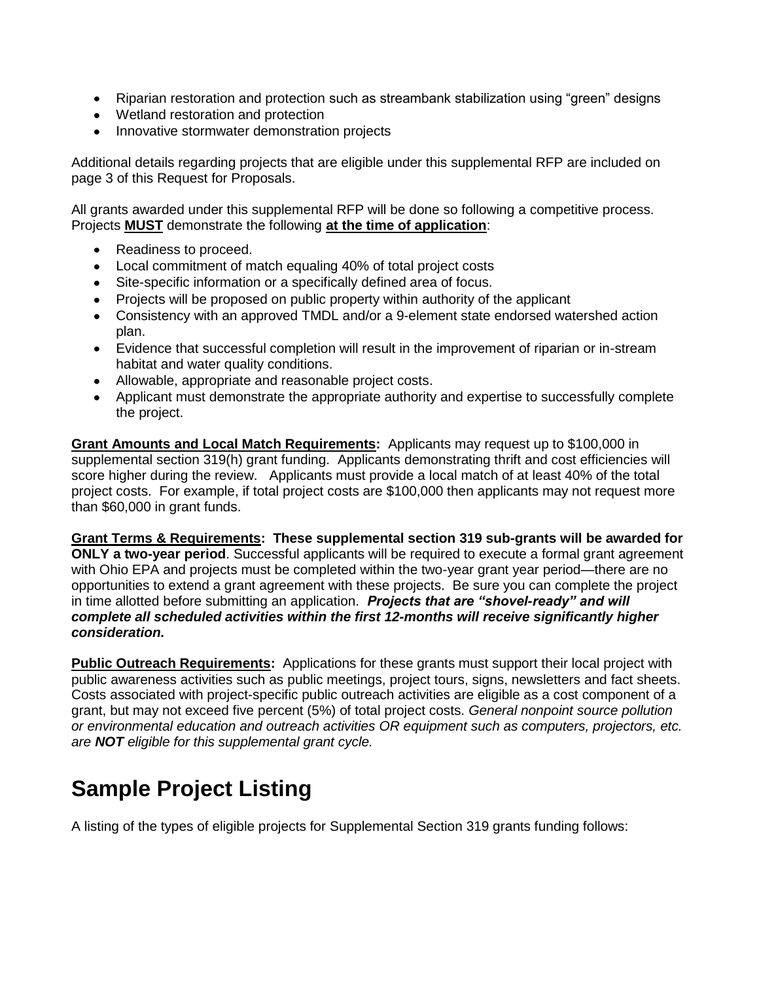- Riparian restoration and protection such as streambank stabilization using "green" designs
- Wetland restoration and protection
- Innovative stormwater demonstration projects

Additional details regarding projects that are eligible under this supplemental RFP are included on page 3 of this Request for Proposals.

All grants awarded under this supplemental RFP will be done so following a competitive process. Projects **MUST** demonstrate the following **at the time of application**:

- Readiness to proceed.
- Local commitment of match equaling 40% of total project costs
- Site-specific information or a specifically defined area of focus.
- Projects will be proposed on public property within authority of the applicant
- Consistency with an approved TMDL and/or a 9-element state endorsed watershed action plan.
- Evidence that successful completion will result in the improvement of riparian or in-stream habitat and water quality conditions.
- Allowable, appropriate and reasonable project costs.
- Applicant must demonstrate the appropriate authority and expertise to successfully complete the project.

**Grant Amounts and Local Match Requirements:** Applicants may request up to \$100,000 in supplemental section 319(h) grant funding. Applicants demonstrating thrift and cost efficiencies will score higher during the review. Applicants must provide a local match of at least 40% of the total project costs. For example, if total project costs are \$100,000 then applicants may not request more than \$60,000 in grant funds.

**Grant Terms & Requirements: These supplemental section 319 sub-grants will be awarded for ONLY a two-year period**. Successful applicants will be required to execute a formal grant agreement with Ohio EPA and projects must be completed within the two-year grant year period—there are no opportunities to extend a grant agreement with these projects. Be sure you can complete the project in time allotted before submitting an application. *Projects that are "shovel-ready" and will complete all scheduled activities within the first 12-months will receive significantly higher consideration.*

**Public Outreach Requirements:** Applications for these grants must support their local project with public awareness activities such as public meetings, project tours, signs, newsletters and fact sheets. Costs associated with project-specific public outreach activities are eligible as a cost component of a grant, but may not exceed five percent (5%) of total project costs. *General nonpoint source pollution or environmental education and outreach activities OR equipment such as computers, projectors, etc. are NOT eligible for this supplemental grant cycle.*

# **Sample Project Listing**

A listing of the types of eligible projects for Supplemental Section 319 grants funding follows: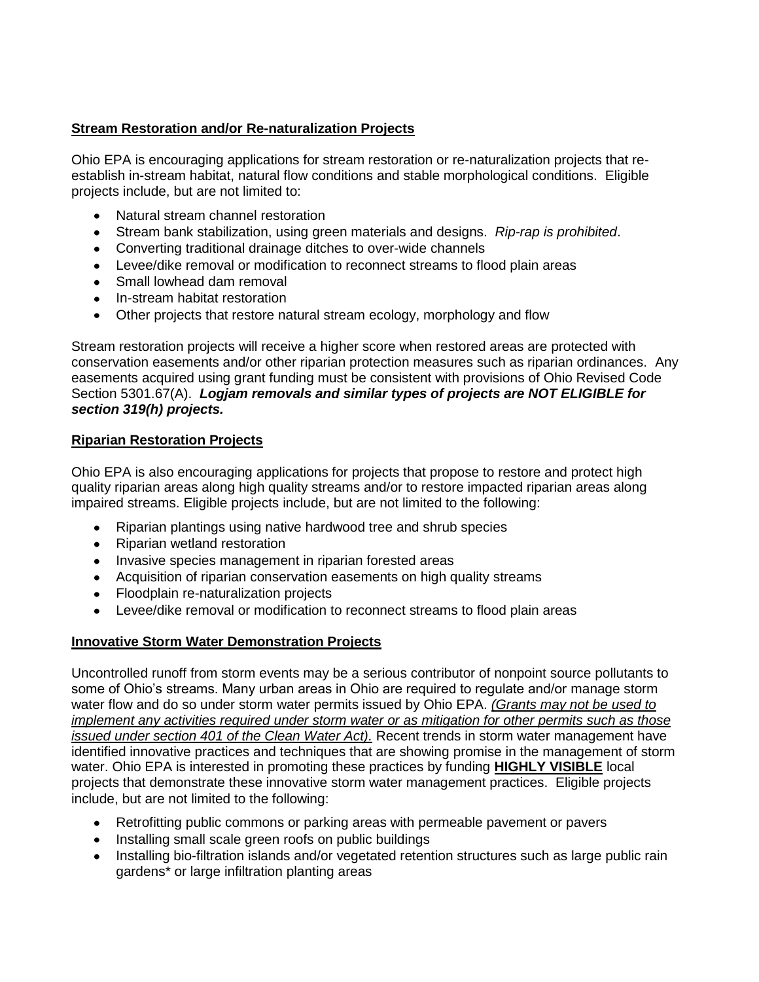#### **Stream Restoration and/or Re-naturalization Projects**

Ohio EPA is encouraging applications for stream restoration or re-naturalization projects that reestablish in-stream habitat, natural flow conditions and stable morphological conditions. Eligible projects include, but are not limited to:

- Natural stream channel restoration
- Stream bank stabilization, using green materials and designs. *Rip-rap is prohibited*.
- Converting traditional drainage ditches to over-wide channels
- Levee/dike removal or modification to reconnect streams to flood plain areas
- Small lowhead dam removal
- In-stream habitat restoration
- Other projects that restore natural stream ecology, morphology and flow

Stream restoration projects will receive a higher score when restored areas are protected with conservation easements and/or other riparian protection measures such as riparian ordinances. Any easements acquired using grant funding must be consistent with provisions of Ohio Revised Code Section 5301.67(A). *Logjam removals and similar types of projects are NOT ELIGIBLE for section 319(h) projects.*

#### **Riparian Restoration Projects**

Ohio EPA is also encouraging applications for projects that propose to restore and protect high quality riparian areas along high quality streams and/or to restore impacted riparian areas along impaired streams. Eligible projects include, but are not limited to the following:

- Riparian plantings using native hardwood tree and shrub species
- Riparian wetland restoration
- Invasive species management in riparian forested areas
- Acquisition of riparian conservation easements on high quality streams
- Floodplain re-naturalization projects
- Levee/dike removal or modification to reconnect streams to flood plain areas

### **Innovative Storm Water Demonstration Projects**

Uncontrolled runoff from storm events may be a serious contributor of nonpoint source pollutants to some of Ohio's streams. Many urban areas in Ohio are required to regulate and/or manage storm water flow and do so under storm water permits issued by Ohio EPA. *(Grants may not be used to implement any activities required under storm water or as mitigation for other permits such as those issued under section 401 of the Clean Water Act).* Recent trends in storm water management have identified innovative practices and techniques that are showing promise in the management of storm water. Ohio EPA is interested in promoting these practices by funding **HIGHLY VISIBLE** local projects that demonstrate these innovative storm water management practices. Eligible projects include, but are not limited to the following:

- Retrofitting public commons or parking areas with permeable pavement or pavers
- Installing small scale green roofs on public buildings
- Installing bio-filtration islands and/or vegetated retention structures such as large public rain gardens\* or large infiltration planting areas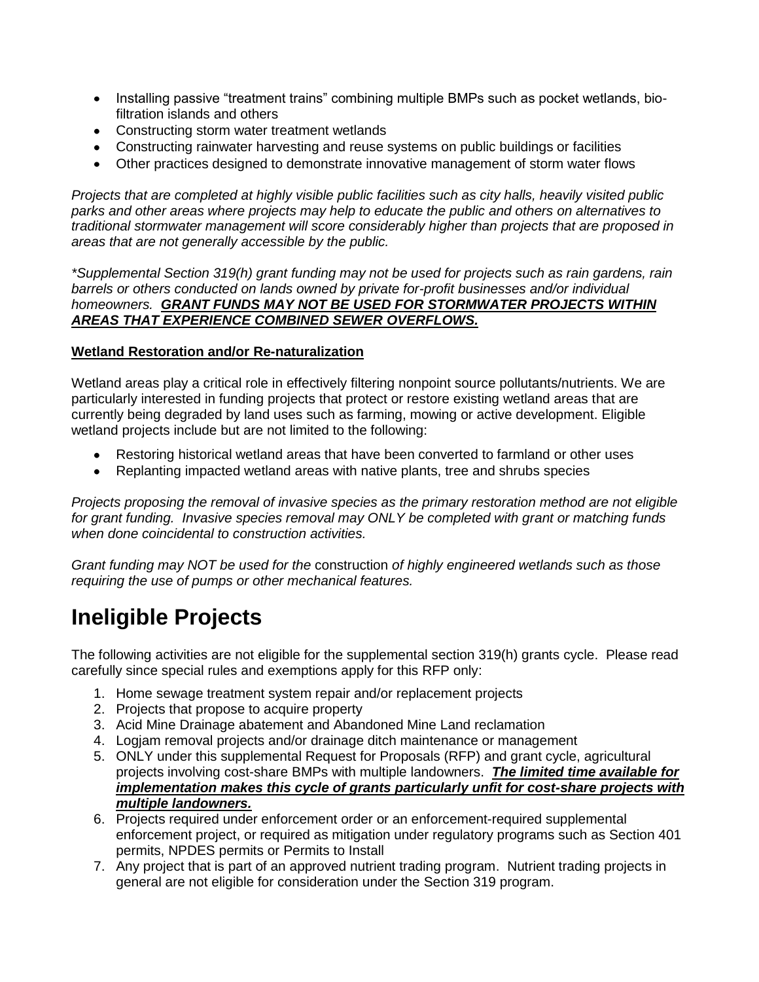- Installing passive "treatment trains" combining multiple BMPs such as pocket wetlands, biofiltration islands and others
- Constructing storm water treatment wetlands
- Constructing rainwater harvesting and reuse systems on public buildings or facilities
- Other practices designed to demonstrate innovative management of storm water flows

*Projects that are completed at highly visible public facilities such as city halls, heavily visited public parks and other areas where projects may help to educate the public and others on alternatives to traditional stormwater management will score considerably higher than projects that are proposed in areas that are not generally accessible by the public.*

*\*Supplemental Section 319(h) grant funding may not be used for projects such as rain gardens, rain barrels or others conducted on lands owned by private for-profit businesses and/or individual homeowners. GRANT FUNDS MAY NOT BE USED FOR STORMWATER PROJECTS WITHIN AREAS THAT EXPERIENCE COMBINED SEWER OVERFLOWS.*

#### **Wetland Restoration and/or Re-naturalization**

Wetland areas play a critical role in effectively filtering nonpoint source pollutants/nutrients. We are particularly interested in funding projects that protect or restore existing wetland areas that are currently being degraded by land uses such as farming, mowing or active development. Eligible wetland projects include but are not limited to the following:

- Restoring historical wetland areas that have been converted to farmland or other uses
- Replanting impacted wetland areas with native plants, tree and shrubs species

*Projects proposing the removal of invasive species as the primary restoration method are not eligible for grant funding. Invasive species removal may ONLY be completed with grant or matching funds when done coincidental to construction activities.*

*Grant funding may NOT be used for the* construction *of highly engineered wetlands such as those requiring the use of pumps or other mechanical features.*

# **Ineligible Projects**

The following activities are not eligible for the supplemental section 319(h) grants cycle. Please read carefully since special rules and exemptions apply for this RFP only:

- 1. Home sewage treatment system repair and/or replacement projects
- 2. Projects that propose to acquire property
- 3. Acid Mine Drainage abatement and Abandoned Mine Land reclamation
- 4. Logjam removal projects and/or drainage ditch maintenance or management
- 5. ONLY under this supplemental Request for Proposals (RFP) and grant cycle, agricultural projects involving cost-share BMPs with multiple landowners. *The limited time available for implementation makes this cycle of grants particularly unfit for cost-share projects with multiple landowners.*
- 6. Projects required under enforcement order or an enforcement-required supplemental enforcement project, or required as mitigation under regulatory programs such as Section 401 permits, NPDES permits or Permits to Install
- 7. Any project that is part of an approved nutrient trading program. Nutrient trading projects in general are not eligible for consideration under the Section 319 program.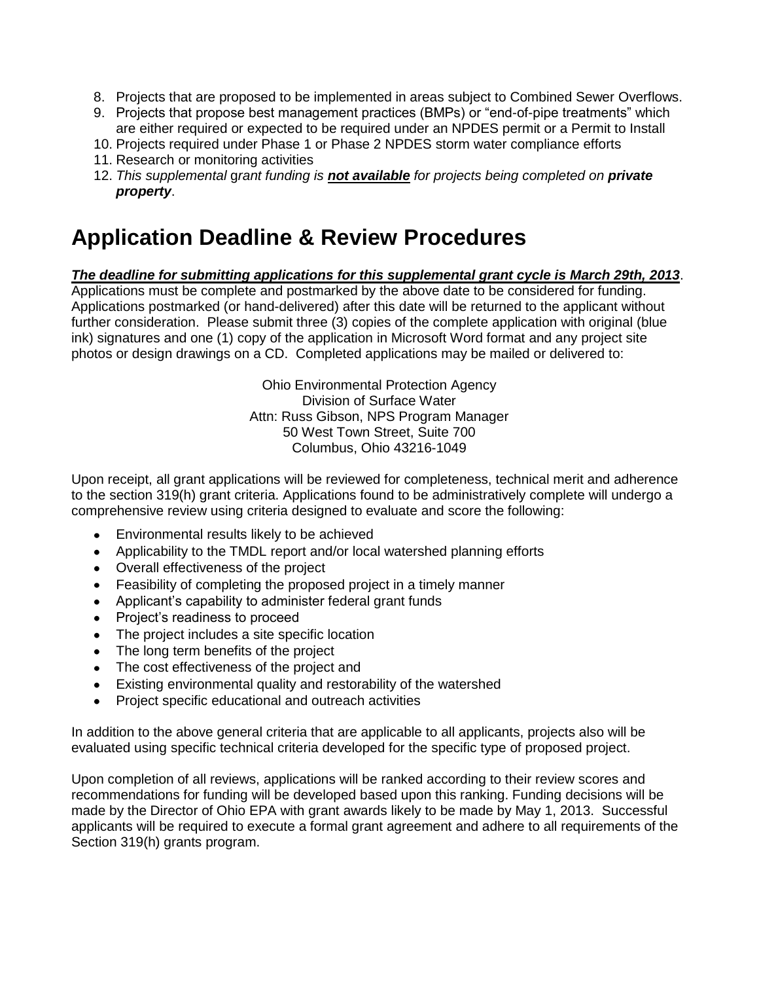- 8. Projects that are proposed to be implemented in areas subject to Combined Sewer Overflows.
- 9. Projects that propose best management practices (BMPs) or "end-of-pipe treatments" which
- are either required or expected to be required under an NPDES permit or a Permit to Install
- 10. Projects required under Phase 1 or Phase 2 NPDES storm water compliance efforts
- 11. Research or monitoring activities
- 12. *This supplemental* g*rant funding is not available for projects being completed on private property*.

### **Application Deadline & Review Procedures**

#### *The deadline for submitting applications for this supplemental grant cycle is March 29th, 2013*.

Applications must be complete and postmarked by the above date to be considered for funding. Applications postmarked (or hand-delivered) after this date will be returned to the applicant without further consideration. Please submit three (3) copies of the complete application with original (blue ink) signatures and one (1) copy of the application in Microsoft Word format and any project site photos or design drawings on a CD. Completed applications may be mailed or delivered to:

> Ohio Environmental Protection Agency Division of Surface Water Attn: Russ Gibson, NPS Program Manager 50 West Town Street, Suite 700 Columbus, Ohio 43216-1049

Upon receipt, all grant applications will be reviewed for completeness, technical merit and adherence to the section 319(h) grant criteria. Applications found to be administratively complete will undergo a comprehensive review using criteria designed to evaluate and score the following:

- Environmental results likely to be achieved
- Applicability to the TMDL report and/or local watershed planning efforts
- Overall effectiveness of the project
- Feasibility of completing the proposed project in a timely manner
- Applicant's capability to administer federal grant funds
- Project's readiness to proceed
- The project includes a site specific location
- The long term benefits of the project
- The cost effectiveness of the project and
- Existing environmental quality and restorability of the watershed
- Project specific educational and outreach activities

In addition to the above general criteria that are applicable to all applicants, projects also will be evaluated using specific technical criteria developed for the specific type of proposed project.

Upon completion of all reviews, applications will be ranked according to their review scores and recommendations for funding will be developed based upon this ranking. Funding decisions will be made by the Director of Ohio EPA with grant awards likely to be made by May 1, 2013. Successful applicants will be required to execute a formal grant agreement and adhere to all requirements of the Section 319(h) grants program.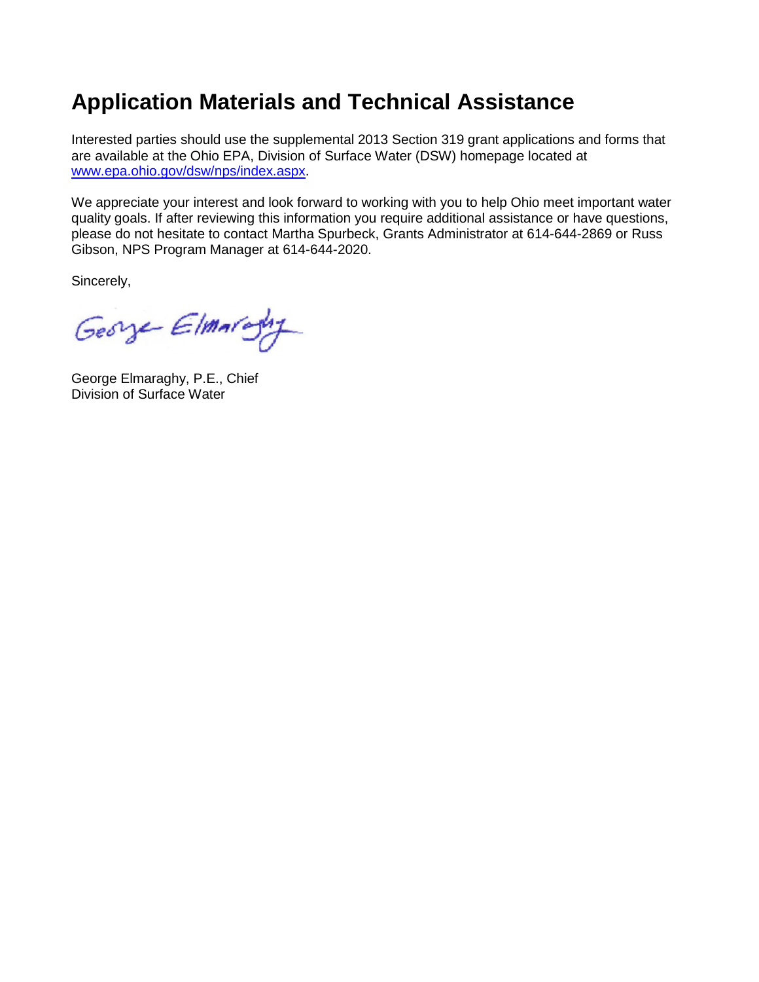## **Application Materials and Technical Assistance**

Interested parties should use the supplemental 2013 Section 319 grant applications and forms that are available at the Ohio EPA, Division of Surface Water (DSW) homepage located at [www.epa.ohio.gov/dsw/nps/index.aspx.](http://www.epa.ohio.gov/dsw/nps/index.aspx)

We appreciate your interest and look forward to working with you to help Ohio meet important water quality goals. If after reviewing this information you require additional assistance or have questions, please do not hesitate to contact Martha Spurbeck, Grants Administrator at 614-644-2869 or Russ Gibson, NPS Program Manager at 614-644-2020.

Sincerely,

George Elmaraghy

George Elmaraghy, P.E., Chief Division of Surface Water